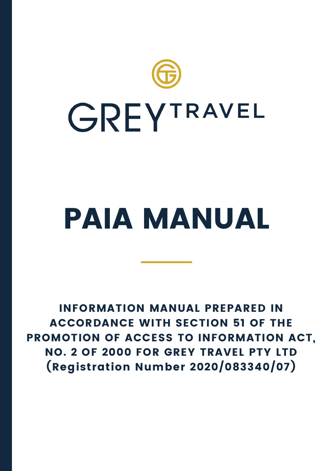

# PAIA MANUAL

INFORMATION MANUAL PREPARED IN ACCORDANCE WITH SECTION 51 OF THE PROMOTION OF ACCESS TO INFORMATION ACT, NO. 2 OF 2000 FOR GREY TRAVEL PTY LTD (Registration Number 2020/083340/07)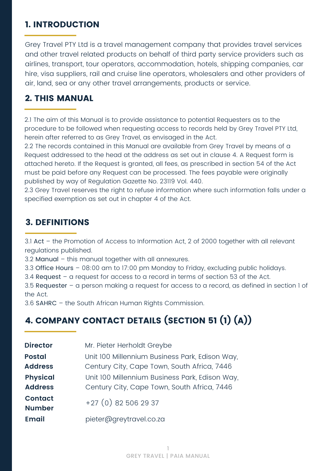## 1. INTRODUCTION

Grey Travel PTY Ltd is a travel management company that provides travel services and other travel related products on behalf of third party service providers such as airlines, transport, tour operators, accommodation, hotels, shipping companies, car hire, visa suppliers, rail and cruise line operators, wholesalers and other providers of air, land, sea or any other travel arrangements, products or service.

## 2. THIS MANUAL

2.1 The aim of this Manual is to provide assistance to potential Requesters as to the procedure to be followed when requesting access to records held by Grey Travel PTY Ltd, herein after referred to as Grey Travel, as envisaged in the Act.

2.2 The records contained in this Manual are available from Grey Travel by means of a Request addressed to the head at the address as set out in clause 4. A Request form is attached hereto. If the Request is granted, all fees, as prescribed in section 54 of the Act must be paid before any Request can be processed. The fees payable were originally published by way of Regulation Gazette No. 23119 Vol. 440.

2.3 Grey Travel reserves the right to refuse information where such information falls under a specified exemption as set out in chapter 4 of the Act.

## 3. DEFINITIONS

3.1 Act – the Promotion of Access to Information Act, 2 of 2000 together with all relevant regulations published.

3.2 Manual – this manual together with all annexures.

3.3 Office Hours – 08:00 am to 17:00 pm Monday to Friday, excluding public holidays.

3.4 Request – a request for access to a record in terms of section 53 of the Act.

3.5 Requester – a person making a request for access to a record, as defined in section 1 of the Act.

3.6 SAHRC – the South African Human Rights Commission.

# 4. COMPANY CONTACT DETAILS (SECTION 51 (1) (A))

| <b>Director</b>                   | Mr. Pieter Herholdt Greybe                                                                    |  |  |  |  |  |
|-----------------------------------|-----------------------------------------------------------------------------------------------|--|--|--|--|--|
| <b>Postal</b><br><b>Address</b>   | Unit 100 Millennium Business Park, Edison Way,<br>Century City, Cape Town, South Africa, 7446 |  |  |  |  |  |
| <b>Physical</b><br><b>Address</b> | Unit 100 Millennium Business Park, Edison Way,<br>Century City, Cape Town, South Africa, 7446 |  |  |  |  |  |
| <b>Contact</b><br><b>Number</b>   | $+27(0)$ 82 506 29 37                                                                         |  |  |  |  |  |
| <b>Email</b>                      | pieter@greytravel.co.za                                                                       |  |  |  |  |  |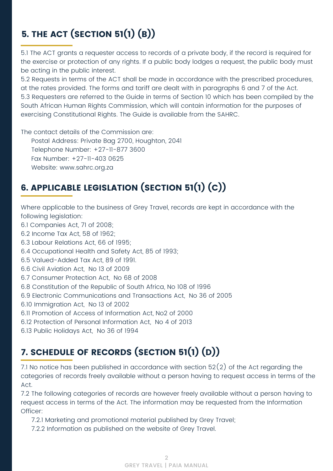# 5. THE ACT (SECTION 51(1) (B))

5.1 The ACT grants a requester access to records of a private body, if the record is required for the exercise or protection of any rights. If a public body lodges a request, the public body must be acting in the public interest.

5.2 Requests in terms of the ACT shall be made in accordance with the prescribed procedures, at the rates provided. The forms and tariff are dealt with in paragraphs 6 and 7 of the Act. 5.3 Requesters are referred to the Guide in terms of Section 10 which has been compiled by the South African Human Rights Commission, which will contain information for the purposes of exercising Constitutional Rights. The Guide is available from the SAHRC.

The contact details of the Commission are:

Postal Address: Private Bag 2700, Houghton, 2041 Telephone Number: +27-11-877 3600 Fax Number: +27-11-403 0625 Website: www.sahrc.org.za

# 6. APPLICABLE LEGISLATION (SECTION 51(1) (C))

Where applicable to the business of Grey Travel, records are kept in accordance with the following legislation:

- 6.1 Companies Act, 71 of 2008;
- 6.2 Income Tax Act, 58 of 1962;
- 6.3 Labour Relations Act, 66 of 1995;
- 6.4 Occupational Health and Safety Act, 85 of 1993;
- 6.5 Valued-Added Tax Act, 89 of 1991.
- 6.6 Civil Aviation Act, No 13 of 2009
- 6.7 Consumer Protection Act, No 68 of 2008
- 6.8 Constitution of the Republic of South Africa, No 108 of 1996
- 6.9 Electronic Communications and Transactions Act, No 36 of 2005
- 6.10 Immigration Act, No 13 of 2002
- 6.11 Promotion of Access of Information Act, No2 of 2000
- 6.12 Protection of Personal Information Act, No 4 of 2013
- 6.13 Public Holidays Act, No 36 of 1994

# 7. SCHEDULE OF RECORDS (SECTION 51(1) (D))

7.1 No notice has been published in accordance with section  $52(2)$  of the Act regarding the categories of records freely available without a person having to request access in terms of the Act.

7.2 The following categories of records are however freely available without a person having to request access in terms of the Act. The information may be requested from the Information Officer:

- 7.2.1 Marketing and promotional material published by Grey Travel;
- 7.2.2 Information as published on the website of Grey Travel.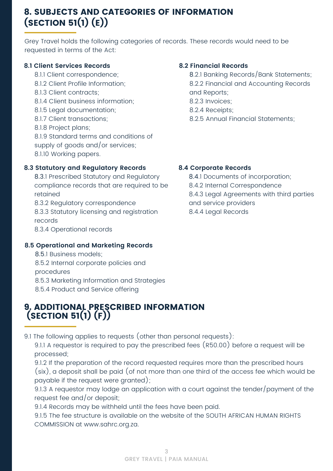# (SECTION 51(1) (E)) 8. SUBJECTS AND CATEGORIES OF INFORMATION

Grey Travel holds the following categories of records. These records would need to be requested in terms of the Act:

## **8.1 Client Services Records**

- 8.1.1 Client correspondence;
- 8.1.2 Client Profile Information;
- 8.1.3 Client contracts;
- 8.1.4 Client business information;
- 8.1.5 Legal documentation;
- 8.1.7 Client transactions;
- 8.1.8 Project plans;

8.1.9 Standard terms and conditions of supply of goods and/or services; 8.1.10 Working papers.

## **8.3 Statutory and Regulatory Records**

- 8.3.1 Prescribed Statutory and Regulatory compliance records that are required to be retained
- 8.3.2 Regulatory correspondence
- 8.3.3 Statutory licensing and registration records
- 8.3.4 Operational records

## **8.5 Operational and Marketing Records**

- 8.5.1 Business models;
- 8.5.2 Internal corporate policies and

procedures

- 8.5.3 Marketing Information and Strategies
- 8.5.4 Product and Service offering

## (SECTION 51(1) (F)) 9. ADDITIONAL PRESCRIBED INFORMATION

9.1 The following applies to requests (other than personal requests):

9.1.1 A requestor is required to pay the prescribed fees (R50.00) before a request will be processed;

9.1.2 If the preparation of the record requested requires more than the prescribed hours (six), a deposit shall be paid (of not more than one third of the access fee which would be payable if the request were granted);

9.1.3 A requestor may lodge an application with a court against the tender/payment of the request fee and/or deposit;

9.1.4 Records may be withheld until the fees have been paid.

9.1.5 The fee structure is available on the website of the SOUTH AFRICAN HUMAN RIGHTS COMMISSION at [www.sahrc.org.za](http://www.sahrc.org.za/).

## **8.2 Financial Records**

8.2.1 Banking Records/Bank Statements; 8.2.2 Financial and Accounting Records and Reports;

- 8.2.3 Invoices;
- 8.2.4 Receipts;
- 8.2.5 Annual Financial Statements;

## **8.4 Corporate Records**

8.4.1 Documents of incorporation; 8.4.2 Internal Correspondence 8.4.3 Legal Agreements with third parties and service providers 8.4.4 Legal Records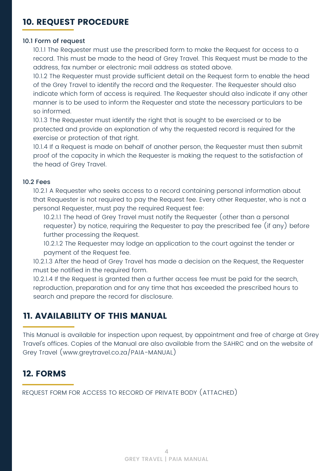## 10. REQUEST PROCEDURE

#### 10.1 Form of request

10.1.1 The Requester must use the prescribed form to make the Request for access to a record. This must be made to the head of Grey Travel. This Request must be made to the address, fax number or electronic mail address as stated above.

10.1.2 The Requester must provide sufficient detail on the Request form to enable the head of the Grey Travel to identify the record and the Requester. The Requester should also indicate which form of access is required. The Requester should also indicate if any other manner is to be used to inform the Requester and state the necessary particulars to be so informed.

10.1.3 The Requester must identify the right that is sought to be exercised or to be protected and provide an explanation of why the requested record is required for the exercise or protection of that right.

10.1.4 If a Request is made on behalf of another person, the Requester must then submit proof of the capacity in which the Requester is making the request to the satisfaction of the head of Grey Travel.

#### 10.2 Fees

10.2.1 A Requester who seeks access to a record containing personal information about that Requester is not required to pay the Request fee. Every other Requester, who is not a personal Requester, must pay the required Request fee:

10.2.1.1 The head of Grey Travel must notify the Requester (other than a personal requester) by notice, requiring the Requester to pay the prescribed fee (if any) before further processing the Request.

10.2.1.2 The Requester may lodge an application to the court against the tender or payment of the Request fee.

10.2.1.3 After the head of Grey Travel has made a decision on the Request, the Requester must be notified in the required form.

10.2.1.4 If the Request is granted then a further access fee must be paid for the search, reproduction, preparation and for any time that has exceeded the prescribed hours to search and prepare the record for disclosure.

## 11. AVAILABILITY OF THIS MANUAL

This Manual is available for inspection upon request, by appointment and free of charge at Grey Travel's offices. Copies of the Manual are also available from the SAHRC and on the website of Grey Travel (www.greytravel.co.za/PAIA-MANUAL)

## 12. FORMS

REQUEST FORM FOR ACCESS TO RECORD OF PRIVATE BODY (ATTACHED)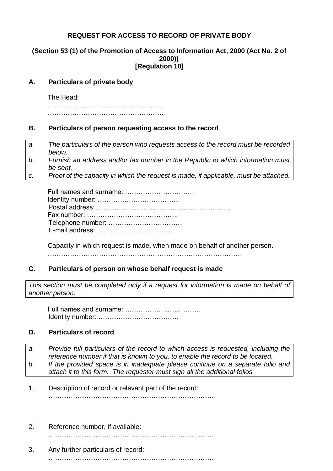## **REQUEST FOR ACCESS TO RECORD OF PRIVATE BODY**

### 7 **(Section 53 (1) of the Promotion of Access to Information Act, 2000 (Act No. 2 of 2000)) [Regulation 10]**

#### **A. Particulars of private body**

The Head:

……………………………………………. …………………………………………….

#### **B. Particulars of person requesting access to the record**

- *a. The particulars of the person who requests access to the record must be recorded below.*
- *b. Furnish an address and/or fax number in the Republic to which information must be sent.*
- *c. Proof of the capacity in which the request is made, if applicable, must be attached.*

Capacity in which request is made, when made on behalf of another person.

……………………………………………………………………………

#### **C. Particulars of person on whose behalf request is made**

*This section must be completed only if a request for information is made on behalf of another person.*

Full names and surname: ……………………………. Identity number: ………………………………

### **D. Particulars of record**

*a. Provide full particulars of the record to which access is requested, including the reference number if that is known to you, to enable the record to be located. b. If the provided space is in inadequate please continue on a separate folio and attach it to this form. The requester must sign all the additional folios.*

- 1. Description of record or relevant part of the record: …………………………………………………………………
- 2. Reference number, if available: …………………………………………………………………
- 3. Any further particulars of record:

…………………………………………………………………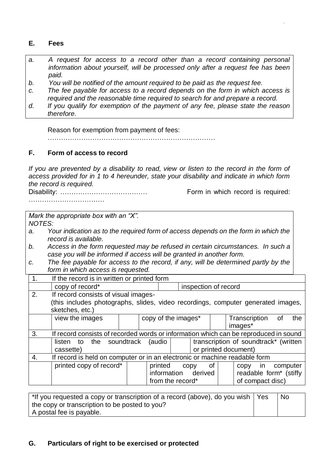## **E. Fees**

- *a. A request for access to a record other than a record containing personal information about yourself, will be processed only after a request fee has been paid.*
- *b. You will be notified of the amount required to be paid as the request fee.*
- *c. The fee payable for access to a record depends on the form in which access is required and the reasonable time required to search for and prepare a record.*
- *d. If you qualify for exemption of the payment of any fee, please state the reason therefore.*

Reason for exemption from payment of fees:

…………………………………………………………………

### **F. Form of access to record**

*If you are prevented by a disability to read, view or listen to the record in the form of access provided for in 1 to 4 hereunder, state your disability and indicate in which form the record is required.*

…………………………….

Disability: ………………………………… Form in which record is required:

*Mark the appropriate box with an "X". NOTES:*

- *a. Your indication as to the required form of access depends on the form in which the record is available.*
- *b. Access in the form requested may be refused in certain circumstances. In such a case you will be informed if access will be granted in another form.*
- *c. The fee payable for access to the record, if any, will be determined partly by the form in which access is requested.*

| 1. | If the record is in written or printed form                                          |        |                                               |                                       |                      |    |               |                  |     |  |  |  |
|----|--------------------------------------------------------------------------------------|--------|-----------------------------------------------|---------------------------------------|----------------------|----|---------------|------------------|-----|--|--|--|
|    | copy of record*                                                                      |        |                                               |                                       | inspection of record |    |               |                  |     |  |  |  |
| 2. | If record consists of visual images-                                                 |        |                                               |                                       |                      |    |               |                  |     |  |  |  |
|    | (this includes photographs, slides, video recordings, computer generated images,     |        |                                               |                                       |                      |    |               |                  |     |  |  |  |
|    | sketches, etc.)                                                                      |        |                                               |                                       |                      |    |               |                  |     |  |  |  |
|    | view the images                                                                      |        | copy of the images*                           |                                       |                      |    | Transcription | 0f               | the |  |  |  |
|    |                                                                                      |        |                                               |                                       |                      |    | images*       |                  |     |  |  |  |
| 3. | If record consists of recorded words or information which can be reproduced in sound |        |                                               |                                       |                      |    |               |                  |     |  |  |  |
|    | soundtrack<br>listen to<br>the                                                       | (audio |                                               | transcription of soundtrack* (written |                      |    |               |                  |     |  |  |  |
|    | cassette)                                                                            |        |                                               | or printed document)                  |                      |    |               |                  |     |  |  |  |
| 4. | If record is held on computer or in an electronic or machine readable form           |        |                                               |                                       |                      |    |               |                  |     |  |  |  |
|    | printed copy of record*                                                              |        | printed                                       | copy                                  |                      | of | in<br>copy    | computer         |     |  |  |  |
|    |                                                                                      |        | readable form* (stiffy<br>information derived |                                       |                      |    |               |                  |     |  |  |  |
|    |                                                                                      |        | from the record*                              |                                       |                      |    |               | of compact disc) |     |  |  |  |
|    |                                                                                      |        |                                               |                                       |                      |    |               |                  |     |  |  |  |

\*If you requested a copy or transcription of a record (above), do you wish the copy or transcription to be posted to you? A postal fee is payable. Yes | No